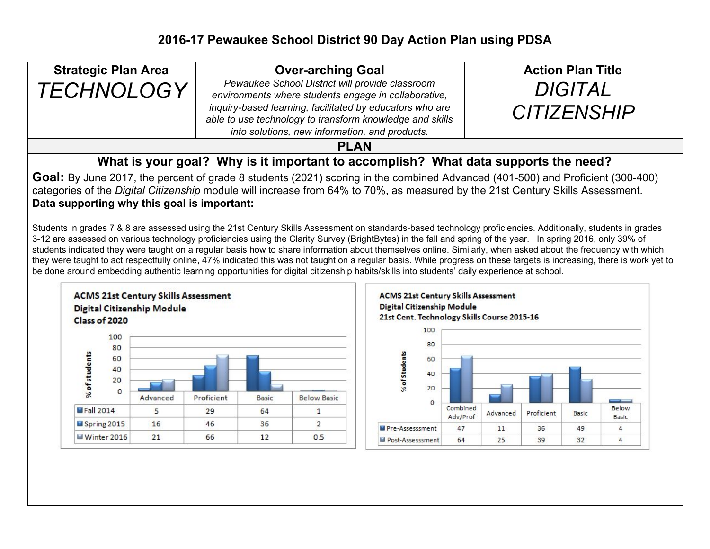| <b>Strategic Plan Area</b>                                                                                                                                                                                                                                                                                                                                                                                                                                                                                                                                                                                                                                                                                                                                                                                                                                                                                                                                                                                                                                                                                                               |                                                             | <b>Over-arching Goal</b>                                                                                   |                                                          |                                    |                                                                                                                                                                                                  |          | <b>Action Plan Title</b> |            |       |       |
|------------------------------------------------------------------------------------------------------------------------------------------------------------------------------------------------------------------------------------------------------------------------------------------------------------------------------------------------------------------------------------------------------------------------------------------------------------------------------------------------------------------------------------------------------------------------------------------------------------------------------------------------------------------------------------------------------------------------------------------------------------------------------------------------------------------------------------------------------------------------------------------------------------------------------------------------------------------------------------------------------------------------------------------------------------------------------------------------------------------------------------------|-------------------------------------------------------------|------------------------------------------------------------------------------------------------------------|----------------------------------------------------------|------------------------------------|--------------------------------------------------------------------------------------------------------------------------------------------------------------------------------------------------|----------|--------------------------|------------|-------|-------|
| <b>TECHNOLOGY</b>                                                                                                                                                                                                                                                                                                                                                                                                                                                                                                                                                                                                                                                                                                                                                                                                                                                                                                                                                                                                                                                                                                                        |                                                             |                                                                                                            | Pewaukee School District will provide classroom          |                                    |                                                                                                                                                                                                  |          | <b>DIGITAL</b>           |            |       |       |
|                                                                                                                                                                                                                                                                                                                                                                                                                                                                                                                                                                                                                                                                                                                                                                                                                                                                                                                                                                                                                                                                                                                                          |                                                             |                                                                                                            | environments where students engage in collaborative,     |                                    |                                                                                                                                                                                                  |          |                          |            |       |       |
|                                                                                                                                                                                                                                                                                                                                                                                                                                                                                                                                                                                                                                                                                                                                                                                                                                                                                                                                                                                                                                                                                                                                          |                                                             |                                                                                                            | inquiry-based learning, facilitated by educators who are |                                    |                                                                                                                                                                                                  |          | <b>CITIZENSHIP</b>       |            |       |       |
|                                                                                                                                                                                                                                                                                                                                                                                                                                                                                                                                                                                                                                                                                                                                                                                                                                                                                                                                                                                                                                                                                                                                          |                                                             | able to use technology to transform knowledge and skills<br>into solutions, new information, and products. |                                                          |                                    |                                                                                                                                                                                                  |          |                          |            |       |       |
| <b>PLAN</b>                                                                                                                                                                                                                                                                                                                                                                                                                                                                                                                                                                                                                                                                                                                                                                                                                                                                                                                                                                                                                                                                                                                              |                                                             |                                                                                                            |                                                          |                                    |                                                                                                                                                                                                  |          |                          |            |       |       |
|                                                                                                                                                                                                                                                                                                                                                                                                                                                                                                                                                                                                                                                                                                                                                                                                                                                                                                                                                                                                                                                                                                                                          |                                                             |                                                                                                            |                                                          |                                    | What is your goal? Why is it important to accomplish? What data supports the need?                                                                                                               |          |                          |            |       |       |
| Goal: By June 2017, the percent of grade 8 students (2021) scoring in the combined Advanced (401-500) and Proficient (300-400)<br>categories of the Digital Citizenship module will increase from 64% to 70%, as measured by the 21st Century Skills Assessment.<br>Data supporting why this goal is important:<br>Students in grades 7 & 8 are assessed using the 21st Century Skills Assessment on standards-based technology proficiencies. Additionally, students in grades<br>3-12 are assessed on various technology proficiencies using the Clarity Survey (BrightBytes) in the fall and spring of the year. In spring 2016, only 39% of<br>students indicated they were taught on a regular basis how to share information about themselves online. Similarly, when asked about the frequency with which<br>they were taught to act respectfully online, 47% indicated this was not taught on a regular basis. While progress on these targets is increasing, there is work yet to<br>be done around embedding authentic learning opportunities for digital citizenship habits/skills into students' daily experience at school. |                                                             |                                                                                                            |                                                          |                                    |                                                                                                                                                                                                  |          |                          |            |       |       |
| <b>Digital Citizenship Module</b><br>Class of 2020<br>100<br>80<br>% of students<br>60<br>40<br>20<br>$\Omega$<br><b>Fall 2014</b>                                                                                                                                                                                                                                                                                                                                                                                                                                                                                                                                                                                                                                                                                                                                                                                                                                                                                                                                                                                                       | <b>ACMS 21st Century Skills Assessment</b><br>Advanced<br>5 | Proficient<br>29                                                                                           | Basic<br>64                                              | <b>Below Basic</b><br>$\mathbf{1}$ | <b>ACMS 21st Century Skills Assessment</b><br><b>Digital Citizenship Module</b><br>21st Cent. Technology Skills Course 2015-16<br>100<br>80<br><b>6</b> of Students<br>60<br>40<br>20<br>$\circ$ | Combined |                          |            |       | Below |
| Spring 2015                                                                                                                                                                                                                                                                                                                                                                                                                                                                                                                                                                                                                                                                                                                                                                                                                                                                                                                                                                                                                                                                                                                              | 16                                                          | 46                                                                                                         | 36                                                       | $\overline{2}$                     |                                                                                                                                                                                                  | Adv/Prof | Advanced                 | Proficient | Basic | Basic |
| Winter 2016                                                                                                                                                                                                                                                                                                                                                                                                                                                                                                                                                                                                                                                                                                                                                                                                                                                                                                                                                                                                                                                                                                                              | 21                                                          | 66                                                                                                         | 12                                                       | 0.5                                | Pre-Assesssment                                                                                                                                                                                  | 47       | 11                       | 36         | 49    | 4     |
|                                                                                                                                                                                                                                                                                                                                                                                                                                                                                                                                                                                                                                                                                                                                                                                                                                                                                                                                                                                                                                                                                                                                          |                                                             |                                                                                                            |                                                          |                                    | M Post-Assesssment                                                                                                                                                                               | 64       | 25                       | 39         | 32    | 4     |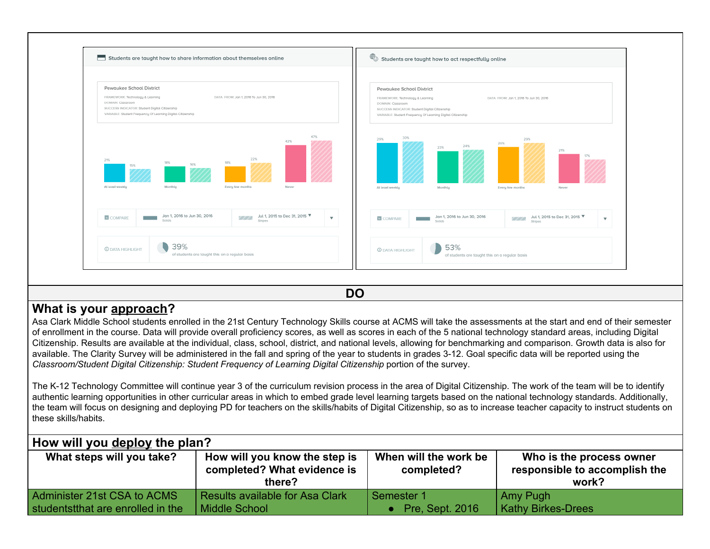

**DO**

# **What is your approach?**

Asa Clark Middle School students enrolled in the 21st Century Technology Skills course at ACMS will take the assessments at the start and end of their semester of enrollment in the course. Data will provide overall proficiency scores, as well as scores in each of the 5 national technology standard areas, including Digital Citizenship. Results are available at the individual, class, school, district, and national levels, allowing for benchmarking and comparison. Growth data is also for available. The Clarity Survey will be administered in the fall and spring of the year to students in grades 3-12. Goal specific data will be reported using the *Classroom/Student Digital Citizenship: Student Frequency of Learning Digital Citizenship* portion of the survey.

The K-12 Technology Committee will continue year 3 of the curriculum revision process in the area of Digital Citizenship. The work of the team will be to identify authentic learning opportunities in other curricular areas in which to embed grade level learning targets based on the national technology standards. Additionally, the team will focus on designing and deploying PD for teachers on the skills/habits of Digital Citizenship, so as to increase teacher capacity to instruct students on these skills/habits.

|  | How will you deploy the plan? |  |  |
|--|-------------------------------|--|--|
|  |                               |  |  |

| <b>TIOW WIII YOU GEPIOY LITE PIAIL!</b>                          |                                                                        |                                      |                                                                    |  |  |  |
|------------------------------------------------------------------|------------------------------------------------------------------------|--------------------------------------|--------------------------------------------------------------------|--|--|--|
| What steps will you take?                                        | How will you know the step is<br>completed? What evidence is<br>there? | When will the work be<br>completed?  | Who is the process owner<br>responsible to accomplish the<br>work? |  |  |  |
| Administer 21st CSA to ACMS<br>studentstthat are enrolled in the | Results available for Asa Clark<br>  Middle School                     | Semester 1<br><b>Pre, Sept. 2016</b> | Amy Pugh<br><b>Kathy Birkes-Drees</b>                              |  |  |  |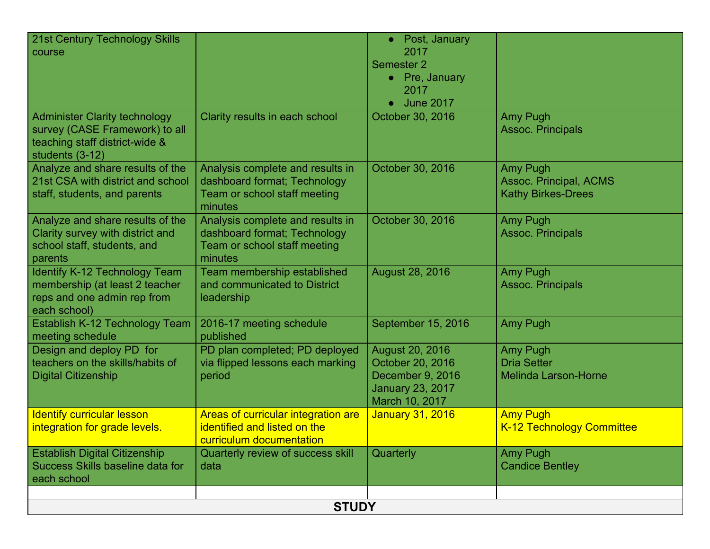| 21st Century Technology Skills<br>course                                                                                    |                                                                                                             | • Post, January<br>2017<br>Semester <sub>2</sub><br>• Pre, January<br>2017<br><b>June 2017</b>       |                                                                        |  |  |  |
|-----------------------------------------------------------------------------------------------------------------------------|-------------------------------------------------------------------------------------------------------------|------------------------------------------------------------------------------------------------------|------------------------------------------------------------------------|--|--|--|
| <b>Administer Clarity technology</b><br>survey (CASE Framework) to all<br>teaching staff district-wide &<br>students (3-12) | Clarity results in each school                                                                              | October 30, 2016                                                                                     | Amy Pugh<br><b>Assoc. Principals</b>                                   |  |  |  |
| Analyze and share results of the<br>21st CSA with district and school<br>staff, students, and parents                       | Analysis complete and results in<br>dashboard format; Technology<br>Team or school staff meeting<br>minutes | October 30, 2016                                                                                     | Amy Pugh<br><b>Assoc. Principal, ACMS</b><br><b>Kathy Birkes-Drees</b> |  |  |  |
| Analyze and share results of the<br>Clarity survey with district and<br>school staff, students, and<br>parents              | Analysis complete and results in<br>dashboard format; Technology<br>Team or school staff meeting<br>minutes | October 30, 2016                                                                                     | Amy Pugh<br><b>Assoc. Principals</b>                                   |  |  |  |
| Identify K-12 Technology Team<br>membership (at least 2 teacher<br>reps and one admin rep from<br>each school)              | Team membership established<br>and communicated to District<br>leadership                                   | August 28, 2016                                                                                      | <b>Amy Pugh</b><br><b>Assoc. Principals</b>                            |  |  |  |
| Establish K-12 Technology Team<br>meeting schedule                                                                          | 2016-17 meeting schedule<br>published                                                                       | September 15, 2016                                                                                   | <b>Amy Pugh</b>                                                        |  |  |  |
| Design and deploy PD for<br>teachers on the skills/habits of<br><b>Digital Citizenship</b>                                  | PD plan completed; PD deployed<br>via flipped lessons each marking<br>period                                | August 20, 2016<br>October 20, 2016<br>December 9, 2016<br><b>January 23, 2017</b><br>March 10, 2017 | Amy Pugh<br><b>Dria Setter</b><br><b>Melinda Larson-Horne</b>          |  |  |  |
| <b>Identify curricular lesson</b><br>integration for grade levels.                                                          | Areas of curricular integration are<br>identified and listed on the<br>curriculum documentation             | <b>January 31, 2016</b>                                                                              | <b>Amy Pugh</b><br><b>K-12 Technology Committee</b>                    |  |  |  |
| <b>Establish Digital Citizenship</b><br>Success Skills baseline data for<br>each school                                     | Quarterly review of success skill<br>data                                                                   | Quarterly                                                                                            | Amy Pugh<br><b>Candice Bentley</b>                                     |  |  |  |
| <b>STUDY</b>                                                                                                                |                                                                                                             |                                                                                                      |                                                                        |  |  |  |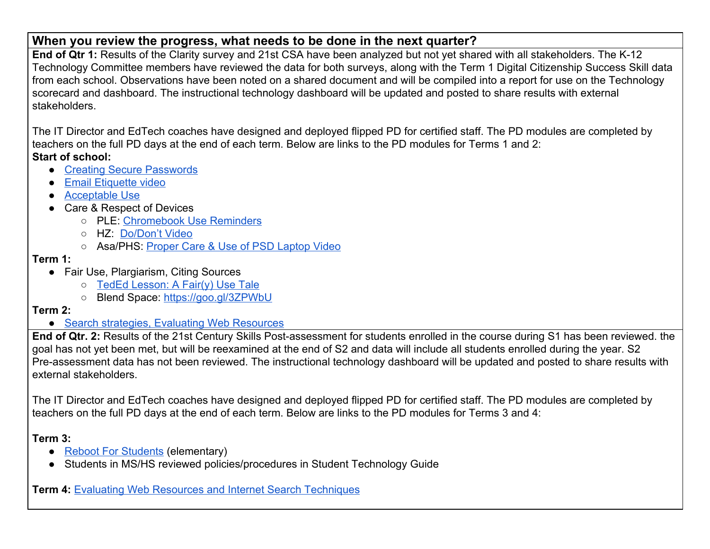# **When you review the progress, what needs to be done in the next quarter?**

**End of Qtr 1:** Results of the Clarity survey and 21st CSA have been analyzed but not yet shared with all stakeholders. The K-12 Technology Committee members have reviewed the data for both surveys, along with the Term 1 Digital Citizenship Success Skill data from each school. Observations have been noted on a shared document and will be compiled into a report for use on the Technology scorecard and dashboard. The instructional technology dashboard will be updated and posted to share results with external stakeholders.

The IT Director and EdTech coaches have designed and deployed flipped PD for certified staff. The PD modules are completed by teachers on the full PD days at the end of each term. Below are links to the PD modules for Terms 1 and 2: **Start of school:**

- [Creating Secure Passwords](https://goo.gl/vHecQP)
- [Email Etiquette video](https://goo.gl/mCWsOq)
- [Acceptable Use](https://www.powtoon.com/online-presentation/dGHT0354a6i/psd-aup/?mode=movie#/)
- Care & Respect of Devices
	- PLE: [Chromebook Use Reminders](https://www.wevideo.com/view/411503508)
	- HZ: [Do/Don't Video](https://www.wevideo.com/hub#media/ci/702815770)
	- Asa/PHS: [Proper Care & Use of PSD Laptop Video](https://youtu.be/Lm927JIqwLY)

### **Term 1:**

- Fair Use, Plargiarism, Citing Sources
	- [TedEd Lesson: A Fair\(y\) Use Tale](http://ed.ted.com/on/TvFaldEv)
	- Blend Space: <https://goo.gl/3ZPWbU>

## **Term 2:**

● [Search strategies, Evaluating Web Resources](https://goo.gl/forms/7GAMnSyXMRIn5HmL2)

**End of Qtr. 2:** Results of the 21st Century Skills Post-assessment for students enrolled in the course during S1 has been reviewed. the goal has not yet been met, but will be reexamined at the end of S2 and data will include all students enrolled during the year. S2 Pre-assessment data has not been reviewed. The instructional technology dashboard will be updated and posted to share results with external stakeholders.

The IT Director and EdTech coaches have designed and deployed flipped PD for certified staff. The PD modules are completed by teachers on the full PD days at the end of each term. Below are links to the PD modules for Terms 3 and 4:

**Term 3:**

- [Reboot For Students](https://goo.gl/Ud7QOc) (elementary)
- Students in MS/HS reviewed policies/procedures in Student Technology Guide

**Term 4:** [Evaluating Web Resources and Internet Search Techniques](https://goo.gl/forms/7GAMnSyXMRIn5HmL2)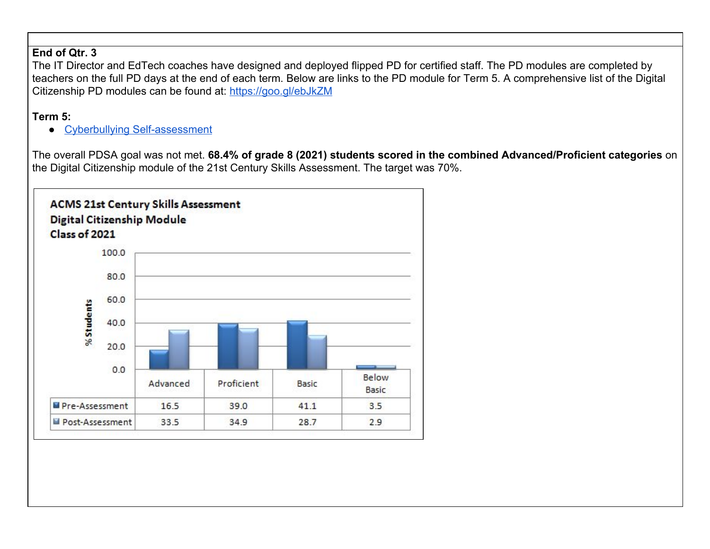#### **End of Qtr. 3**

The IT Director and EdTech coaches have designed and deployed flipped PD for certified staff. The PD modules are completed by teachers on the full PD days at the end of each term. Below are links to the PD module for Term 5. A comprehensive list of the Digital Citizenship PD modules can be found at: <https://goo.gl/ebJkZM>

## **Term 5:**

● [Cyberbullying Self-assessment](https://docs.google.com/a/pewaukeeschools.org/forms/d/e/1FAIpQLSe0n978vJGVDgX3jPuTqoyp-hZt_nKS2-5Qj4DfhoytiP5Spw/viewform?c=0&w=1)

The overall PDSA goal was not met. **68.4% of grade 8 (2021) students scored in the combined Advanced/Proficient categories** on the Digital Citizenship module of the 21st Century Skills Assessment. The target was 70%.